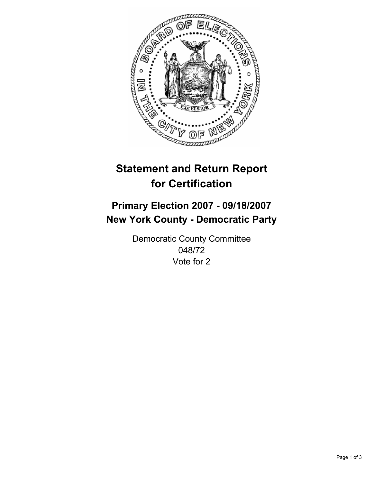

# **Statement and Return Report for Certification**

## **Primary Election 2007 - 09/18/2007 New York County - Democratic Party**

Democratic County Committee 048/72 Vote for 2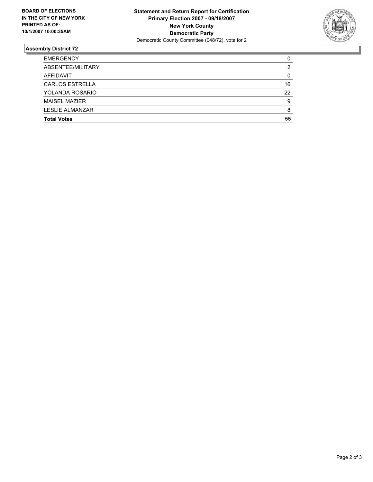

### **Assembly District 72**

| <b>EMERGENCY</b>       |    |
|------------------------|----|
| ABSENTEE/MILITARY      |    |
| AFFIDAVIT              |    |
| <b>CARLOS ESTRELLA</b> | 16 |
| YOLANDA ROSARIO        | 22 |
| <b>MAISEL MAZIER</b>   | Q  |
| LESLIE ALMANZAR        |    |
| <b>Total Votes</b>     | 55 |